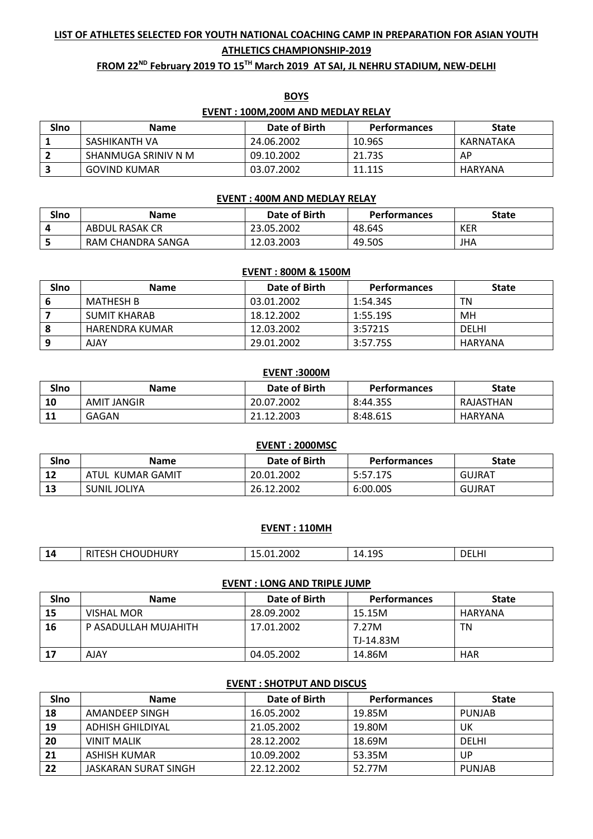# **LIST OF ATHLETES SELECTED FOR YOUTH NATIONAL COACHING CAMP IN PREPARATION FOR ASIAN YOUTH ATHLETICS CHAMPIONSHIP-2019**

## **FROM 22ND February 2019 TO 15 TH March 2019 AT SAI, JL NEHRU STADIUM, NEW-DELHI**

|      | <b>EVENT: 100M, 200M AND MEDLAY RELAY</b> |               |                     |              |
|------|-------------------------------------------|---------------|---------------------|--------------|
| Sino | <b>Name</b>                               | Date of Birth | <b>Performances</b> | <b>State</b> |
|      | SASHIKANTH VA                             | 24.06.2002    | 10.96S              | KARNATAKA    |
|      | SHANMUGA SRINIV N M                       | 09.10.2002    | 21.73S              | AP           |
|      | <b>GOVIND KUMAR</b>                       | 03.07.2002    | 11.11S              | HARYANA      |

# **BOYS**

#### **EVENT : 400M AND MEDLAY RELAY**

| Slno | <b>Name</b>       | Date of Birth | <b>Performances</b> | State |
|------|-------------------|---------------|---------------------|-------|
|      | ABDUL RASAK CR    | 23.05.2002    | 48.64S              | KER   |
|      | RAM CHANDRA SANGA | 12.03.2003    | 49.50S              | JHA   |

#### **EVENT : 800M & 1500M**

| Slno | <b>Name</b>    | Date of Birth | <b>Performances</b> | <b>State</b> |
|------|----------------|---------------|---------------------|--------------|
|      | MATHESH B      | 03.01.2002    | 1:54.34S            | ΤN           |
|      | SUMIT KHARAB   | 18.12.2002    | 1:55.19S            | MН           |
| 8    | HARENDRA KUMAR | 12.03.2002    | 3:5721S             | <b>DELHI</b> |
| 9    | AJAY           | 29.01.2002    | 3:57.75S            | HARYANA      |

#### **EVENT :3000M**

| Slno             | <b>Name</b>        | Date of Birth | <b>Performances</b> | <b>State</b> |
|------------------|--------------------|---------------|---------------------|--------------|
| 10               | <b>AMIT JANGIR</b> | 20.07.2002    | 8:44.35S            | RAJASTHAN    |
| 11<br><b>. .</b> | <b>GAGAN</b>       | .12.2003      | 8:48.61S            | HARYANA      |

|      |                  | EVENT: 2000MSC |                     |               |
|------|------------------|----------------|---------------------|---------------|
| Slno | <b>Name</b>      | Date of Birth  | <b>Performances</b> | <b>State</b>  |
| 12   | ATUL KUMAR GAMIT | 20.01.2002     | 5:57.17S            | <b>GUJRAT</b> |
| 13   | SUNIL JOLIYA     | 26.12.2002     | 6:00.00S            | <b>GUJRAT</b> |

#### **EVENT : 110MH**

| -        | .                       |                                         |                                     |    |
|----------|-------------------------|-----------------------------------------|-------------------------------------|----|
| -14<br>. | <b>HOUDHURY</b><br>חכוו | ⊥.2002<br>በ1<br>10.UI<br>$ -$<br>$\sim$ | 10٢<br>14<br><u>. т. т. ј</u><br>__ | DF |

#### **EVENT : LONG AND TRIPLE JUMP**

| SIno | <b>Name</b>          | Date of Birth | Performances | <b>State</b> |
|------|----------------------|---------------|--------------|--------------|
| 15   | VISHAL MOR           | 28.09.2002    | 15.15M       | HARYANA      |
| 16   | P ASADULLAH MUJAHITH | 17.01.2002    | 7.27M        | ΤN           |
|      |                      |               | l TJ-14.83M  |              |
| 17   | AJAY                 | 04.05.2002    | 14.86M       | <b>HAR</b>   |

#### **EVENT : SHOTPUT AND DISCUS**

| SIno | <b>Name</b>          | Date of Birth | <b>Performances</b> | <b>State</b>  |
|------|----------------------|---------------|---------------------|---------------|
| 18   | AMANDEEP SINGH       | 16.05.2002    | 19.85M              | <b>PUNJAB</b> |
| 19   | ADHISH GHILDIYAL     | 21.05.2002    | 19.80M              | UK            |
| 20   | <b>VINIT MALIK</b>   | 28.12.2002    | 18.69M              | <b>DELHI</b>  |
| 21   | ASHISH KUMAR         | 10.09.2002    | 53.35M              | UP            |
| 22   | JASKARAN SURAT SINGH | 22.12.2002    | 52.77M              | <b>PUNJAB</b> |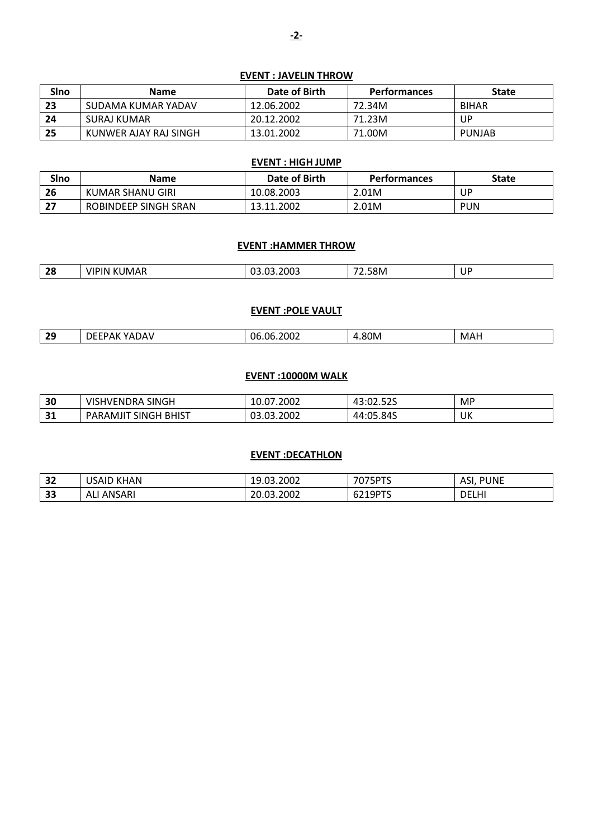## **EVENT : JAVELIN THROW**

| SIno | <b>Name</b>           | Date of Birth | <b>Performances</b> | <b>State</b> |
|------|-----------------------|---------------|---------------------|--------------|
| 23   | SUDAMA KUMAR YADAV    | 12.06.2002    | 72.34M              | <b>BIHAR</b> |
| 24   | SURAJ KUMAR           | 20.12.2002    | 71.23M              | UP.          |
| 25   | KUNWER AJAY RAJ SINGH | 13.01.2002    | 71.00M              | PUNJAB       |

### **EVENT : HIGH JUMP**

| <b>SIno</b> | <b>Name</b>          | Date of Birth | <b>Performances</b> | State      |
|-------------|----------------------|---------------|---------------------|------------|
| 26          | KUMAR SHANU GIRI     | 10.08.2003    | 2.01M               | JΡ         |
| דר<br>z,    | ROBINDEEP SINGH SRAN | 13.11.2002    | 2.01M               | <b>PUN</b> |

#### **EVENT :HAMMER THROW**

| $\mathbf{a}$<br>-20<br>$\sim$ | ١N<br>$\mathbf{z}$<br><b>IMAR</b><br>V I<br>n | 2003<br>--<br>п.<br>. | 2.58M<br>$  -$ | UP. |
|-------------------------------|-----------------------------------------------|-----------------------|----------------|-----|

## **EVENT :POLE VAULT**

| $\sim$<br>$ -$<br>በf<br>NN<br>06<br>$\cdot$<br>706.<br>– MA⊑<br>$\overline{\phantom{a}}$<br>. . | -- |  | ____ |  |
|-------------------------------------------------------------------------------------------------|----|--|------|--|
|                                                                                                 |    |  |      |  |

## **EVENT :10000M WALK**

| 30                | VISHVENDRA SINGH                        | 2002.′<br>10.07 | roc <sup>.</sup><br>י<br>10.02.02J | MP |
|-------------------|-----------------------------------------|-----------------|------------------------------------|----|
| <b>D</b> 1<br>- 1 | <b>BHIST</b><br><b>SINGH</b><br>PARAMJI | 03.03.2002      | 44:05.84S                          | UK |

## **EVENT :DECATHLON**

| 32 | <b>KHAN</b><br>USAID | 19.03.2002      | 7075PTS                       | <b>PUNE</b><br>ASI |
|----|----------------------|-----------------|-------------------------------|--------------------|
| 33 | NSARI<br>. ANS<br>ΑL | .03.2002<br>20, | <b>QDTS</b><br><b>DZIYPIS</b> | <b>DELHI</b>       |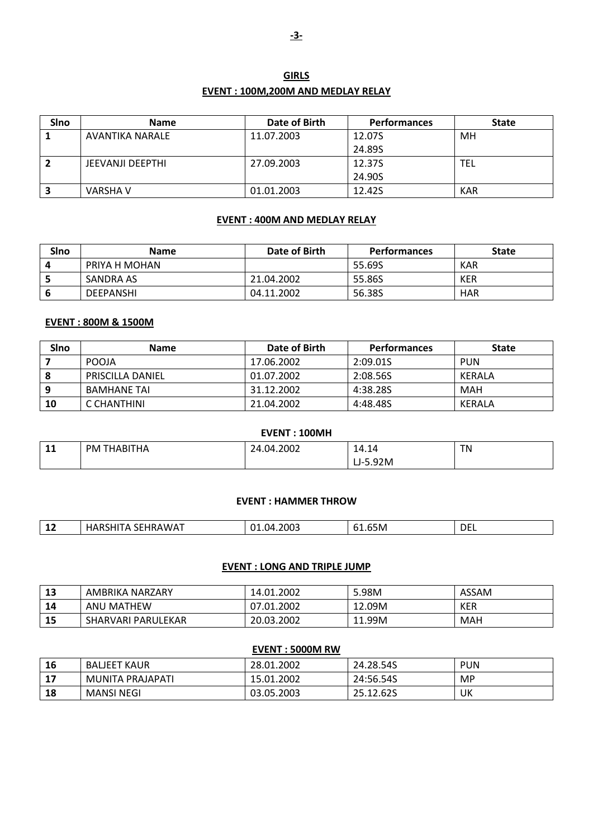| <b>GIRLS</b>                       |  |
|------------------------------------|--|
| EVENT : 100M.200M AND MEDLAY RELAY |  |

| SIno | <b>Name</b>      | Date of Birth | <b>Performances</b> | <b>State</b> |
|------|------------------|---------------|---------------------|--------------|
|      | AVANTIKA NARALE  | 11.07.2003    | 12.07S              | MН           |
|      |                  |               | 24.89S              |              |
| -2   | JEEVANJI DEEPTHI | 27.09.2003    | 12.37S              | <b>TEL</b>   |
|      |                  |               | 24.90S              |              |
| 3    | VARSHA V         | 01.01.2003    | 12.42S              | KAR          |

## **EVENT : 400M AND MEDLAY RELAY**

| SIno | <b>Name</b>      | Date of Birth | Performances | <b>State</b> |
|------|------------------|---------------|--------------|--------------|
|      | PRIYA H MOHAN    |               | 55.69S       | KAR          |
|      | SANDRA AS        | 21.04.2002    | 55.86S       | <b>KER</b>   |
|      | <b>DEEPANSHI</b> | 04.11.2002    | 56.38S       | <b>HAR</b>   |

## **EVENT : 800M & 1500M**

| Sino | <b>Name</b>             | Date of Birth | Performances | <b>State</b> |
|------|-------------------------|---------------|--------------|--------------|
|      | <b>POOJA</b>            | 17.06.2002    | 2:09.01S     | PUN          |
| 8    | <b>PRISCILLA DANIEL</b> | 01.07.2002    | 2:08.56S     | KERALA       |
| 9    | <b>BAMHANE TAI</b>      | 31.12.2002    | 4:38.28S     | MAH          |
| 10   | C CHANTHINI             | 21.04.2002    | 4:48.48S     | KERALA       |

| EVENT: 100MH |             |            |            |    |  |
|--------------|-------------|------------|------------|----|--|
| 11           | PM THABITHA | 24.04.2002 | 14.14      | ΤN |  |
|              |             |            | $LJ-5.92M$ |    |  |

#### **EVENT : HAMMER THROW**

| -- | w<br>чΗ. | 2003<br>n.<br>ΊZ<br>. |  | <b>DEL</b> |
|----|----------|-----------------------|--|------------|
|----|----------|-----------------------|--|------------|

## **EVENT : LONG AND TRIPLE JUMP**

| 13 | AMBRIKA NARZARY    | 14.01.2002 | 5.98M        | <b>ASSAM</b> |
|----|--------------------|------------|--------------|--------------|
| 14 | I MATHEW<br>ANU    | 0.01.2002  | 12.09M       | <b>KER</b>   |
| 15 | SHARVARI PARULEKAR | 20.03.2002 | 11.99M<br>11 | MAH          |

## **EVENT : 5000M RW**

| 16 | BALJEET KAUR      | 28.01.2002 | 24.28.54S | <b>PUN</b> |
|----|-------------------|------------|-----------|------------|
| 17 | MUNITA PRAJAPATI  | 15.01.2002 | 24:56.54S | MP         |
| 18 | <b>MANSI NEGI</b> | 03.05.2003 | 25.12.62S | UK         |